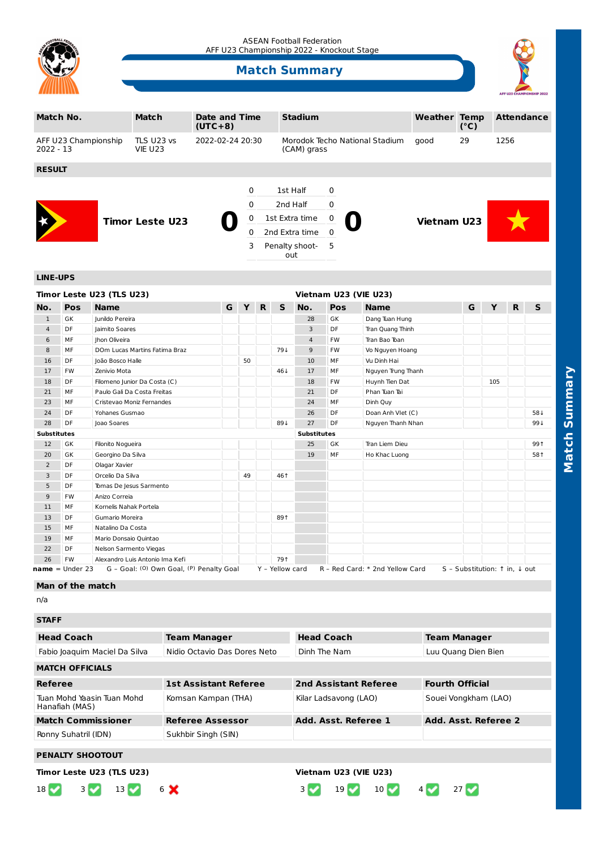

#### ASEAN Football Federation AFF U23 Championship 2022 - Knockout Stage

# **Match Summary**



| Match No.                           | <b>Date and Time</b><br>$(UTC+8)$ | <b>Stadium</b>   |          |                       | <b>Weather Temp</b>                           | $(^{\circ}C)$ | <b>Attendance</b>  |    |      |  |  |
|-------------------------------------|-----------------------------------|------------------|----------|-----------------------|-----------------------------------------------|---------------|--------------------|----|------|--|--|
| AFF U23 Championship<br>$2022 - 13$ | TLS U23 vs<br><b>VIE U23</b>      | 2022-02-24 20:30 |          |                       | Morodok Techo National Stadium<br>(CAM) grass |               |                    | 29 | 1256 |  |  |
| <b>RESULT</b>                       |                                   |                  |          |                       |                                               |               |                    |    |      |  |  |
|                                     |                                   |                  | 0        | 1st Half              | 0                                             |               |                    |    |      |  |  |
|                                     | <b>Timor Leste U23</b>            |                  | 0        | 2nd Half              | 0                                             |               | <b>Vietnam U23</b> |    |      |  |  |
|                                     |                                   |                  | 0        | 1st Extra time        | 0                                             |               |                    |    |      |  |  |
|                                     |                                   |                  | $\Omega$ | 2nd Extra time        | $\mathbf 0$                                   |               |                    |    |      |  |  |
|                                     |                                   |                  | 3        | Penalty shoot-<br>out | - 5                                           |               |                    |    |      |  |  |

### **LINE-UPS**

|                |                    | Timor Leste U23 (TLS U23)                |   |    |    |                    |                |           | Vietnam U23 (VIE U23)           |                               |     |   |     |
|----------------|--------------------|------------------------------------------|---|----|----|--------------------|----------------|-----------|---------------------------------|-------------------------------|-----|---|-----|
| No.            | Pos                | <b>Name</b>                              | G | Y  | R. | S                  | No.            | Pos       | <b>Name</b>                     | G                             | Y   | R | S   |
| $\mathbf{1}$   | GK                 | Junildo Pereira                          |   |    |    |                    | 28             | GK        | Dang Tuan Hung                  |                               |     |   |     |
| 4              | DF                 | Jaimito Soares                           |   |    |    |                    | 3              | DF        | Tran Quang Thinh                |                               |     |   |     |
| 6              | MF                 | Jhon Oliveira                            |   |    |    |                    | $\overline{4}$ | <b>FW</b> | Tran Bao Toan                   |                               |     |   |     |
| 8              | MF                 | DOm Lucas Martins Fatima Braz            |   |    |    | 794                | 9              | <b>FW</b> | Vo Nguyen Hoang                 |                               |     |   |     |
| 16             | DF                 | João Bosco Halle                         |   | 50 |    |                    | 10             | MF        | Vu Dinh Hai                     |                               |     |   |     |
| 17             | <b>FW</b>          | Zenivio Mota                             |   |    |    | 46↓                | 17             | MF        | Nguyen Trung Thanh              |                               |     |   |     |
| 18             | DF                 | Filomeno Junior Da Costa (C)             |   |    |    |                    | 18             | <b>FW</b> | Huynh Tien Dat                  |                               | 105 |   |     |
| 21             | MF                 | Paulo Gali Da Costa Freitas              |   |    |    |                    | 21             | DF        | Phan Tuan Tai                   |                               |     |   |     |
| 23             | MF                 | Cristevao Moniz Fernandes                |   |    |    |                    | 24             | MF        | Dinh Quy                        |                               |     |   |     |
| 24             | DF                 | Yohanes Gusmao                           |   |    |    |                    | 26             | DF        | Doan Anh Vlet (C)               |                               |     |   | 584 |
| 28             | DF                 | Joao Soares                              |   |    |    | 894                | 27             | <b>DF</b> | Nguyen Thanh Nhan               |                               |     |   | 991 |
|                | <b>Substitutes</b> |                                          |   |    |    | <b>Substitutes</b> |                |           |                                 |                               |     |   |     |
| 12             | GK                 | Filonito Noqueira                        |   |    |    |                    | 25             | GK        | Tran Liem Dieu                  |                               |     |   | 991 |
| 20             | GK                 | Georgino Da Silva                        |   |    |    |                    | 19             | MF        | Ho Khac Luong                   |                               |     |   | 581 |
| $\overline{2}$ | DF                 | Olagar Xavier                            |   |    |    |                    |                |           |                                 |                               |     |   |     |
| 3              | DF                 | Orcelio Da Silva                         |   | 49 |    | 461                |                |           |                                 |                               |     |   |     |
| 5              | DF                 | Tomas De Jesus Sarmento                  |   |    |    |                    |                |           |                                 |                               |     |   |     |
| 9              | <b>FW</b>          | Anizo Correja                            |   |    |    |                    |                |           |                                 |                               |     |   |     |
| 11             | MF                 | Kornelis Nahak Portela                   |   |    |    |                    |                |           |                                 |                               |     |   |     |
| 13             | DF                 | Gumario Moreira                          |   |    |    | 891                |                |           |                                 |                               |     |   |     |
| 15             | MF                 | Natalino Da Costa                        |   |    |    |                    |                |           |                                 |                               |     |   |     |
| 19             | MF                 | Mario Donsaio Quintao                    |   |    |    |                    |                |           |                                 |                               |     |   |     |
| 22             | DF                 | Nelson Sarmento Viegas                   |   |    |    |                    |                |           |                                 |                               |     |   |     |
| 26             | <b>FW</b>          | Alexandro Luis Antonio Ima Kefi          |   |    |    | 791                |                |           |                                 |                               |     |   |     |
|                | $name = Under 23$  | G - Goal: (0) Own Goal, (P) Penalty Goal |   |    |    | Y - Yellow card    |                |           | R - Red Card: * 2nd Yellow Card | S - Substitution: ↑ in, ↓ out |     |   |     |

#### **Man of the match**

n/a

| <b>STAFF</b>                                 |                              |                       |                        |  |  |  |  |  |  |  |
|----------------------------------------------|------------------------------|-----------------------|------------------------|--|--|--|--|--|--|--|
| <b>Head Coach</b>                            | <b>Team Manager</b>          | <b>Head Coach</b>     | <b>Team Manager</b>    |  |  |  |  |  |  |  |
| Fabio Joaquim Maciel Da Silva                | Nidio Octavio Das Dores Neto | Dinh The Nam          | Luu Quang Dien Bien    |  |  |  |  |  |  |  |
| <b>MATCH OFFICIALS</b>                       |                              |                       |                        |  |  |  |  |  |  |  |
| <b>Referee</b>                               | <b>1st Assistant Referee</b> | 2nd Assistant Referee | <b>Fourth Official</b> |  |  |  |  |  |  |  |
| Tuan Mohd Yaasin Tuan Mohd<br>Hanafiah (MAS) | Komsan Kampan (THA)          | Kilar Ladsavong (LAO) | Souei Vongkham (LAO)   |  |  |  |  |  |  |  |
| <b>Match Commissioner</b>                    | <b>Referee Assessor</b>      | Add. Asst. Referee 1  | Add. Asst. Referee 2   |  |  |  |  |  |  |  |
| Ronny Suhatril (IDN)                         | Sukhbir Singh (SIN)          |                       |                        |  |  |  |  |  |  |  |
| <b>PENALTY SHOOTOUT</b>                      |                              |                       |                        |  |  |  |  |  |  |  |

 $18$   $\sqrt{}$  3  $\sqrt{}$  13  $\sqrt{}$  6  $\sqrt{}$  13 19  $\sqrt{}$  10  $\sqrt{}$  4  $\sqrt{}$  27  $\sqrt{}$ 

## **PENALTY SHOOTOUT**

**Timor Leste U23 (TLS U23) Vietnam U23 (VIE U23)**